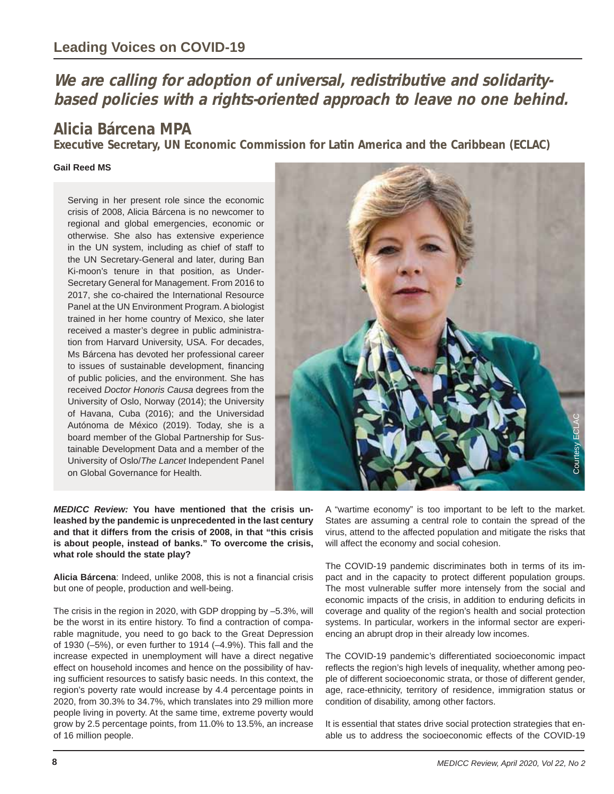## **We are calling for adoption of universal, redistributive and solidaritybased policies with a rights-oriented approach to leave no one behind.**

## **Alicia Bárcena MPA**

**Executive Secretary, UN Economic Commission for Latin America and the Caribbean (ECLAC)** 

## **Gail Reed MS**

Serving in her present role since the economic crisis of 2008, Alicia Bárcena is no newcomer to regional and global emergencies, economic or otherwise. She also has extensive experience in the UN system, including as chief of staff to the UN Secretary-General and later, during Ban Ki-moon's tenure in that position, as Under-Secretary General for Management. From 2016 to 2017, she co-chaired the International Resource Panel at the UN Environment Program. A biologist trained in her home country of Mexico, she later received a master's degree in public administration from Harvard University, USA. For decades, Ms Bárcena has devoted her professional career to issues of sustainable development, financing of public policies, and the environment. She has received *Doctor Honoris Causa* degrees from the University of Oslo, Norway (2014); the University of Havana, Cuba (2016); and the Universidad Autónoma de México (2019). Today, she is a board member of the Global Partnership for Sustainable Development Data and a member of the University of Oslo/*The Lancet* Independent Panel on Global Governance for Health.



*MEDICC Review:* **You have mentioned that the crisis unleashed by the pandemic is unprecedented in the last century and that it differs from the crisis of 2008, in that "this crisis is about people, instead of banks." To overcome the crisis, what role should the state play?** 

**Alicia Bárcena**: Indeed, unlike 2008, this is not a financial crisis but one of people, production and well-being.

The crisis in the region in 2020, with GDP dropping by –5.3%, will be the worst in its entire history. To find a contraction of comparable magnitude, you need to go back to the Great Depression of 1930 (–5%), or even further to 1914 (–4.9%). This fall and the increase expected in unemployment will have a direct negative effect on household incomes and hence on the possibility of having sufficient resources to satisfy basic needs. In this context, the region's poverty rate would increase by 4.4 percentage points in 2020, from 30.3% to 34.7%, which translates into 29 million more people living in poverty. At the same time, extreme poverty would grow by 2.5 percentage points, from 11.0% to 13.5%, an increase of 16 million people.

A "wartime economy" is too important to be left to the market. States are assuming a central role to contain the spread of the virus, attend to the affected population and mitigate the risks that will affect the economy and social cohesion.

The COVID-19 pandemic discriminates both in terms of its impact and in the capacity to protect different population groups. The most vulnerable suffer more intensely from the social and economic impacts of the crisis, in addition to enduring deficits in coverage and quality of the region's health and social protection systems. In particular, workers in the informal sector are experiencing an abrupt drop in their already low incomes.

The COVID-19 pandemic's differentiated socioeconomic impact reflects the region's high levels of inequality, whether among people of different socioeconomic strata, or those of different gender, age, race-ethnicity, territory of residence, immigration status or condition of disability, among other factors.

It is essential that states drive social protection strategies that en-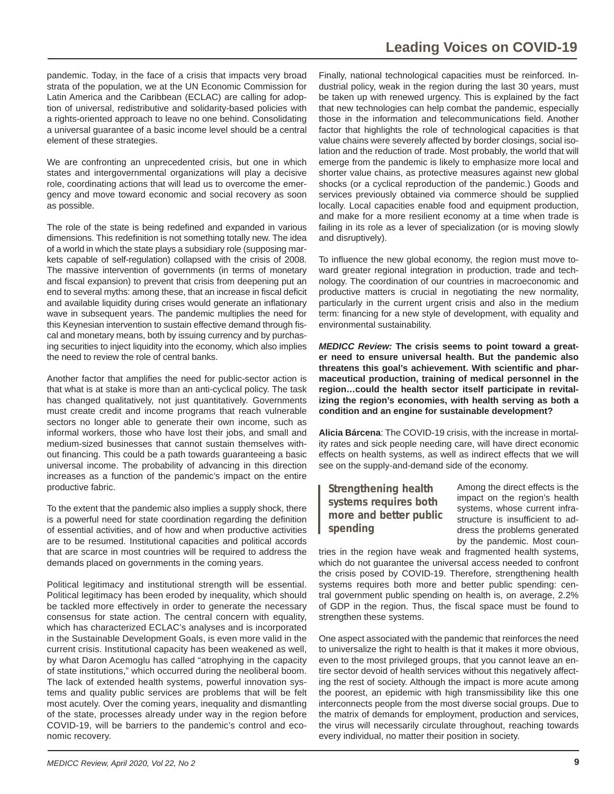pandemic. Today, in the face of a crisis that impacts very broad strata of the population, we at the UN Economic Commission for Latin America and the Caribbean (ECLAC) are calling for adoption of universal, redistributive and solidarity-based policies with a rights-oriented approach to leave no one behind. Consolidating a universal guarantee of a basic income level should be a central element of these strategies.

We are confronting an unprecedented crisis, but one in which states and intergovernmental organizations will play a decisive role, coordinating actions that will lead us to overcome the emergency and move toward economic and social recovery as soon as possible.

The role of the state is being redefined and expanded in various dimensions. This redefinition is not something totally new. The idea of a world in which the state plays a subsidiary role (supposing markets capable of self-regulation) collapsed with the crisis of 2008. The massive intervention of governments (in terms of monetary and fiscal expansion) to prevent that crisis from deepening put an end to several myths: among these, that an increase in fiscal deficit and available liquidity during crises would generate an inflationary wave in subsequent years. The pandemic multiplies the need for this Keynesian intervention to sustain effective demand through fiscal and monetary means, both by issuing currency and by purchasing securities to inject liquidity into the economy, which also implies the need to review the role of central banks.

Another factor that amplifies the need for public-sector action is that what is at stake is more than an anti-cyclical policy. The task has changed qualitatively, not just quantitatively. Governments must create credit and income programs that reach vulnerable sectors no longer able to generate their own income, such as informal workers, those who have lost their jobs, and small and medium-sized businesses that cannot sustain themselves without financing. This could be a path towards guaranteeing a basic universal income. The probability of advancing in this direction increases as a function of the pandemic's impact on the entire productive fabric.

To the extent that the pandemic also implies a supply shock, there is a powerful need for state coordination regarding the definition of essential activities, and of how and when productive activities are to be resumed. Institutional capacities and political accords that are scarce in most countries will be required to address the demands placed on governments in the coming years.

Political legitimacy and institutional strength will be essential. Political legitimacy has been eroded by inequality, which should be tackled more effectively in order to generate the necessary consensus for state action. The central concern with equality, which has characterized ECLAC's analyses and is incorporated in the Sustainable Development Goals, is even more valid in the current crisis. Institutional capacity has been weakened as well, by what Daron Acemoglu has called "atrophying in the capacity of state institutions," which occurred during the neoliberal boom. The lack of extended health systems, powerful innovation systems and quality public services are problems that will be felt most acutely. Over the coming years, inequality and dismantling of the state, processes already under way in the region before COVID-19, will be barriers to the pandemic's control and economic recovery.

Finally, national technological capacities must be reinforced. Industrial policy, weak in the region during the last 30 years, must be taken up with renewed urgency. This is explained by the fact that new technologies can help combat the pandemic, especially those in the information and telecommunications field. Another factor that highlights the role of technological capacities is that value chains were severely affected by border closings, social isolation and the reduction of trade. Most probably, the world that will emerge from the pandemic is likely to emphasize more local and shorter value chains, as protective measures against new global shocks (or a cyclical reproduction of the pandemic.) Goods and services previously obtained via commerce should be supplied locally. Local capacities enable food and equipment production, and make for a more resilient economy at a time when trade is failing in its role as a lever of specialization (or is moving slowly and disruptively).

To influence the new global economy, the region must move toward greater regional integration in production, trade and technology. The coordination of our countries in macroeconomic and productive matters is crucial in negotiating the new normality, particularly in the current urgent crisis and also in the medium term: financing for a new style of development, with equality and environmental sustainability.

*MEDICC Review:* **The crisis seems to point toward a greater need to ensure universal health. But the pandemic also threatens this goal's achievement. With scientifi c and pharmaceutical production, training of medical personnel in the region…could the health sector itself participate in revitalizing the region's economies, with health serving as both a condition and an engine for sustainable development?**

**Alicia Bárcena**: The COVID-19 crisis, with the increase in mortality rates and sick people needing care, will have direct economic effects on health systems, as well as indirect effects that we will see on the supply-and-demand side of the economy.

## **Strengthening health systems requires both more and better public spending**

Among the direct effects is the impact on the region's health systems, whose current infrastructure is insufficient to address the problems generated by the pandemic. Most coun-

tries in the region have weak and fragmented health systems, which do not guarantee the universal access needed to confront the crisis posed by COVID-19. Therefore, strengthening health systems requires both more and better public spending: central government public spending on health is, on average, 2.2% of GDP in the region. Thus, the fiscal space must be found to strengthen these systems.

One aspect associated with the pandemic that reinforces the need to universalize the right to health is that it makes it more obvious, even to the most privileged groups, that you cannot leave an entire sector devoid of health services without this negatively affecting the rest of society. Although the impact is more acute among the poorest, an epidemic with high transmissibility like this one interconnects people from the most diverse social groups. Due to the matrix of demands for employment, production and services, the virus will necessarily circulate throughout, reaching towards every individual, no matter their position in society.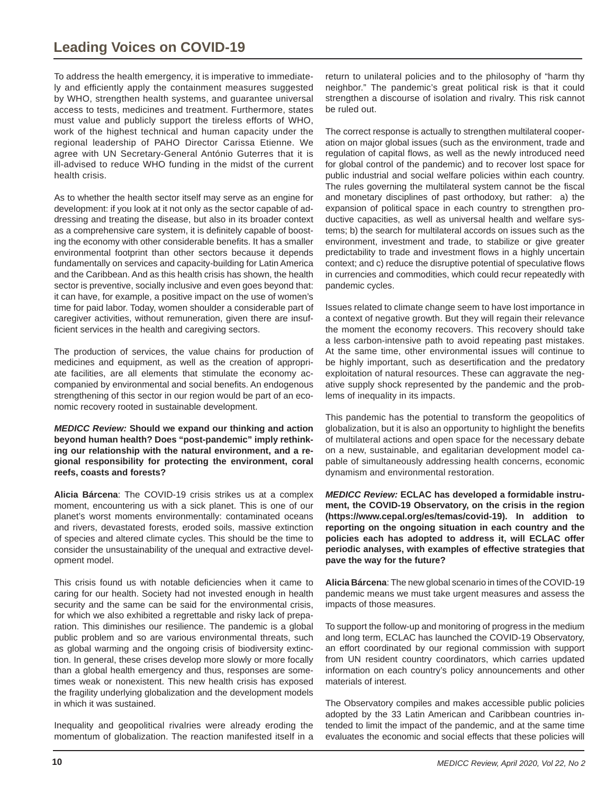To address the health emergency, it is imperative to immediately and efficiently apply the containment measures suggested by WHO, strengthen health systems, and guarantee universal access to tests, medicines and treatment. Furthermore, states must value and publicly support the tireless efforts of WHO, work of the highest technical and human capacity under the regional leadership of PAHO Director Carissa Etienne. We agree with UN Secretary-General António Guterres that it is ill-advised to reduce WHO funding in the midst of the current health crisis.

As to whether the health sector itself may serve as an engine for development: if you look at it not only as the sector capable of addressing and treating the disease, but also in its broader context as a comprehensive care system, it is definitely capable of boosting the economy with other considerable benefits. It has a smaller environmental footprint than other sectors because it depends fundamentally on services and capacity-building for Latin America and the Caribbean. And as this health crisis has shown, the health sector is preventive, socially inclusive and even goes beyond that: it can have, for example, a positive impact on the use of women's time for paid labor. Today, women shoulder a considerable part of caregiver activities, without remuneration, given there are insufficient services in the health and caregiving sectors.

The production of services, the value chains for production of medicines and equipment, as well as the creation of appropriate facilities, are all elements that stimulate the economy accompanied by environmental and social benefits. An endogenous strengthening of this sector in our region would be part of an economic recovery rooted in sustainable development.

*MEDICC Review:* **Should we expand our thinking and action beyond human health? Does "post-pandemic" imply rethinking our relationship with the natural environment, and a regional responsibility for protecting the environment, coral reefs, coasts and forests?**

**Alicia Bárcena**: The COVID-19 crisis strikes us at a complex moment, encountering us with a sick planet. This is one of our planet's worst moments environmentally: contaminated oceans and rivers, devastated forests, eroded soils, massive extinction of species and altered climate cycles. This should be the time to consider the unsustainability of the unequal and extractive development model.

This crisis found us with notable deficiencies when it came to caring for our health. Society had not invested enough in health security and the same can be said for the environmental crisis, for which we also exhibited a regrettable and risky lack of preparation. This diminishes our resilience. The pandemic is a global public problem and so are various environmental threats, such as global warming and the ongoing crisis of biodiversity extinction. In general, these crises develop more slowly or more focally than a global health emergency and thus, responses are sometimes weak or nonexistent. This new health crisis has exposed the fragility underlying globalization and the development models in which it was sustained.

Inequality and geopolitical rivalries were already eroding the momentum of globalization. The reaction manifested itself in a return to unilateral policies and to the philosophy of "harm thy neighbor." The pandemic's great political risk is that it could strengthen a discourse of isolation and rivalry. This risk cannot be ruled out.

The correct response is actually to strengthen multilateral cooperation on major global issues (such as the environment, trade and regulation of capital flows, as well as the newly introduced need for global control of the pandemic) and to recover lost space for public industrial and social welfare policies within each country. The rules governing the multilateral system cannot be the fiscal and monetary disciplines of past orthodoxy, but rather: a) the expansion of political space in each country to strengthen productive capacities, as well as universal health and welfare systems; b) the search for multilateral accords on issues such as the environment, investment and trade, to stabilize or give greater predictability to trade and investment flows in a highly uncertain context; and c) reduce the disruptive potential of speculative flows in currencies and commodities, which could recur repeatedly with pandemic cycles.

Issues related to climate change seem to have lost importance in a context of negative growth. But they will regain their relevance the moment the economy recovers. This recovery should take a less carbon-intensive path to avoid repeating past mistakes. At the same time, other environmental issues will continue to be highly important, such as desertification and the predatory exploitation of natural resources. These can aggravate the negative supply shock represented by the pandemic and the problems of inequality in its impacts.

This pandemic has the potential to transform the geopolitics of globalization, but it is also an opportunity to highlight the benefits of multilateral actions and open space for the necessary debate on a new, sustainable, and egalitarian development model capable of simultaneously addressing health concerns, economic dynamism and environmental restoration.

*MEDICC Review:* **ECLAC has developed a formidable instrument, the COVID-19 Observatory, on the crisis in the region (https://www.cepal.org/es/temas/covid-19). In addition to reporting on the ongoing situation in each country and the policies each has adopted to address it, will ECLAC offer periodic analyses, with examples of effective strategies that pave the way for the future?**

**Alicia Bárcena**: The new global scenario in times of the COVID-19 pandemic means we must take urgent measures and assess the impacts of those measures.

To support the follow-up and monitoring of progress in the medium and long term, ECLAC has launched the COVID-19 Observatory, an effort coordinated by our regional commission with support from UN resident country coordinators, which carries updated information on each country's policy announcements and other materials of interest.

The Observatory compiles and makes accessible public policies adopted by the 33 Latin American and Caribbean countries intended to limit the impact of the pandemic, and at the same time evaluates the economic and social effects that these policies will